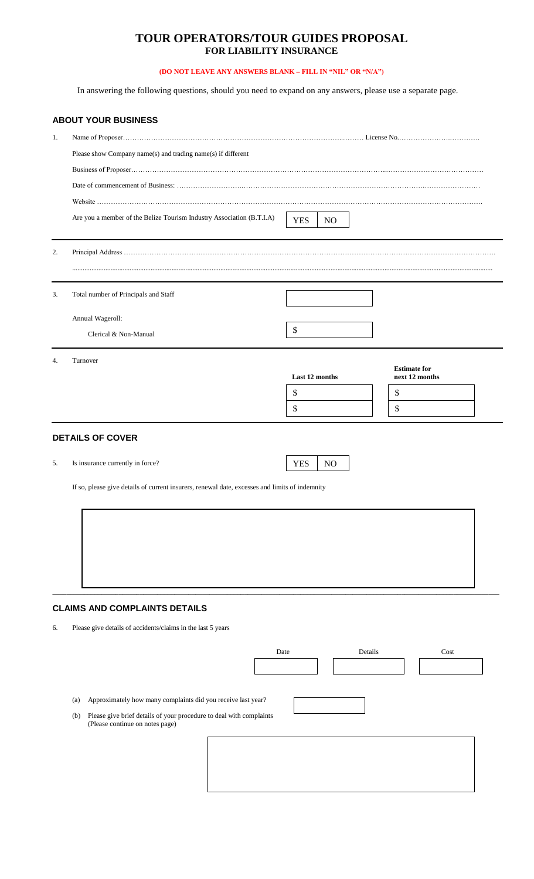# **TOUR OPERATORS/TOUR GUIDES PROPOSAL FOR LIABILITY INSURANCE**

## **(DO NOT LEAVE ANY ANSWERS BLANK – FILL IN "NIL" OR "N/A")**

In answering the following questions, should you need to expand on any answers, please use a separate page.

|    | <b>ABOUT YOUR BUSINESS</b>                                                                                    |                              |                                       |  |
|----|---------------------------------------------------------------------------------------------------------------|------------------------------|---------------------------------------|--|
| 1. |                                                                                                               |                              |                                       |  |
|    | Please show Company name(s) and trading name(s) if different                                                  |                              |                                       |  |
|    |                                                                                                               |                              |                                       |  |
|    |                                                                                                               |                              |                                       |  |
|    |                                                                                                               |                              |                                       |  |
|    | Are you a member of the Belize Tourism Industry Association (B.T.I.A)                                         | <b>YES</b><br>N <sub>O</sub> |                                       |  |
| 2. |                                                                                                               |                              |                                       |  |
| 3. | Total number of Principals and Staff                                                                          |                              |                                       |  |
|    | Annual Wageroll:                                                                                              |                              |                                       |  |
|    | Clerical & Non-Manual                                                                                         | \$                           |                                       |  |
| 4. | Turnover                                                                                                      | Last 12 months               | <b>Estimate for</b><br>next 12 months |  |
|    |                                                                                                               | \$                           | \$                                    |  |
|    |                                                                                                               | \$                           | \$                                    |  |
| 5. | <b>DETAILS OF COVER</b><br>Is insurance currently in force?                                                   | <b>YES</b><br>NO             |                                       |  |
|    |                                                                                                               |                              |                                       |  |
|    | If so, please give details of current insurers, renewal date, excesses and limits of indemnity                |                              |                                       |  |
|    |                                                                                                               |                              |                                       |  |
|    |                                                                                                               |                              |                                       |  |
|    |                                                                                                               |                              |                                       |  |
|    |                                                                                                               |                              |                                       |  |
|    |                                                                                                               |                              |                                       |  |
|    | <b>CLAIMS AND COMPLAINTS DETAILS</b>                                                                          |                              |                                       |  |
| 6. | Please give details of accidents/claims in the last 5 years                                                   |                              |                                       |  |
|    | Date                                                                                                          | Details                      | Cost                                  |  |
|    |                                                                                                               |                              |                                       |  |
|    | Approximately how many complaints did you receive last year?<br>(a)                                           |                              |                                       |  |
|    | Please give brief details of your procedure to deal with complaints<br>(b)<br>(Please continue on notes page) |                              |                                       |  |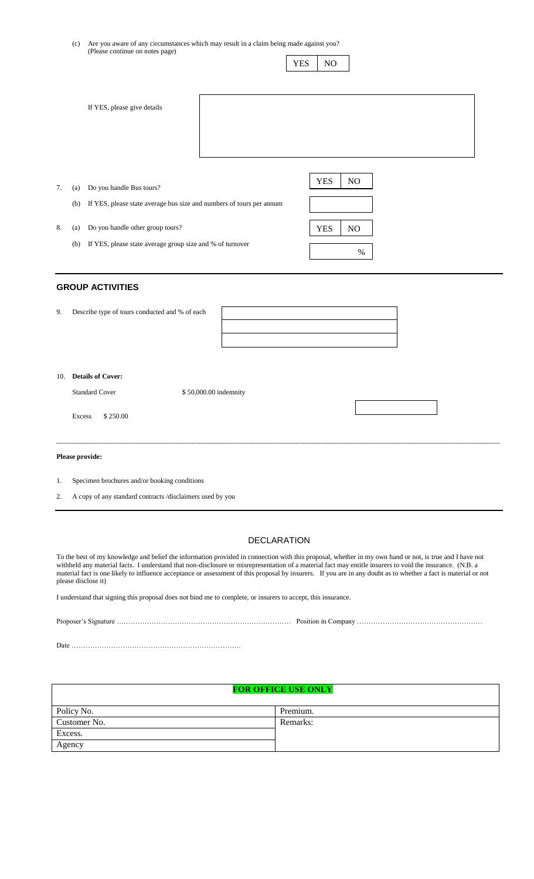(c) Are you aware of any circumstances which may result in a claim being made against you? (Please continue on notes page)

|    |     | If YES, please give details                                          |                  |
|----|-----|----------------------------------------------------------------------|------------------|
|    |     |                                                                      |                  |
|    |     |                                                                      |                  |
|    |     |                                                                      |                  |
| 7. | (a) | Do you handle Bus tours?                                             | <b>YES</b><br>NO |
|    | (b) | If YES, please state average bus size and numbers of tours per annum |                  |
| 8. | (a) | Do you handle other group tours?                                     | <b>YES</b><br>NO |
|    | (b) | If YES, please state average group size and % of turnover            | %                |

YES | NO

## **GROUP ACTIVITIES**

| 9. | Describe type of tours conducted and % of each |  |
|----|------------------------------------------------|--|
|    |                                                |  |
|    |                                                |  |

#### 10. **Details of Cover:**

| <b>Standard Cover</b> | \$50,000.00 indemnity |  |
|-----------------------|-----------------------|--|
| \$250.00<br>Excess    |                       |  |

 $\_$  , and the state of the state of the state of the state of the state of the state of the state of the state of the state of the state of the state of the state of the state of the state of the state of the state of the

#### **Please provide:**

- 1. Specimen brochures and/or booking conditions
- 2. A copy of any standard contracts /disclaimers used by you

### DECLARATION

To the best of my knowledge and belief the information provided in connection with this proposal, whether in my own hand or not, is true and I have not withheld any material facts. I understand that non-disclosure or misrepresentation of a material fact may entitle insurers to void the insurance. (N.B. a material fact is one likely to influence acceptance or assessment of this proposal by insurers. If you are in any doubt as to whether a fact is material or not please disclose it)

I understand that signing this proposal does not bind me to complete, or insurers to accept, this insurance.

| Date |  |
|------|--|

#### **FOR OFFICE USE ONLY**

| Policy No.   | Premium. |
|--------------|----------|
| Customer No. | Remarks: |
| Excess.      |          |
| Agency       |          |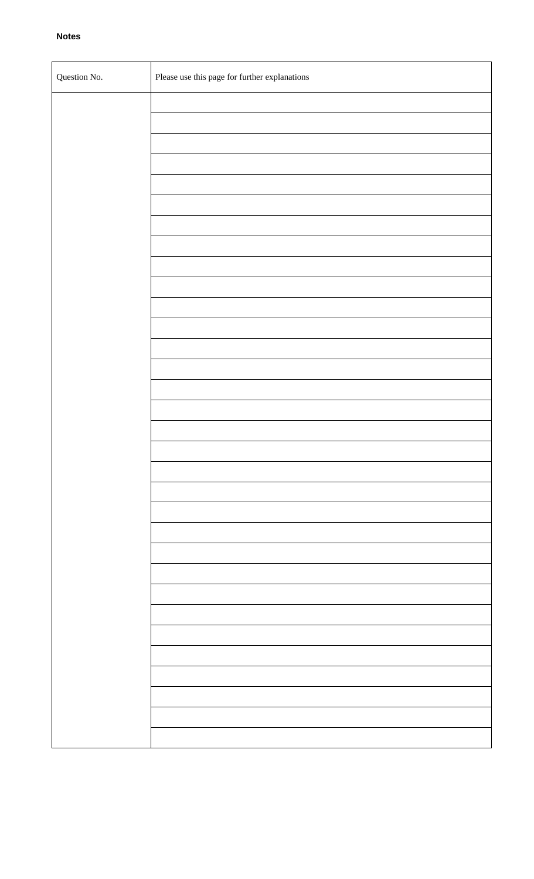| Question No. | Please use this page for further explanations |
|--------------|-----------------------------------------------|
|              |                                               |
|              |                                               |
|              |                                               |
|              |                                               |
|              |                                               |
|              |                                               |
|              |                                               |
|              |                                               |
|              |                                               |
|              |                                               |
|              |                                               |
|              |                                               |
|              |                                               |
|              |                                               |
|              |                                               |
|              |                                               |
|              |                                               |
|              |                                               |
|              |                                               |
|              |                                               |
|              |                                               |
|              |                                               |
|              |                                               |
|              |                                               |
|              |                                               |
|              |                                               |
|              |                                               |
|              |                                               |